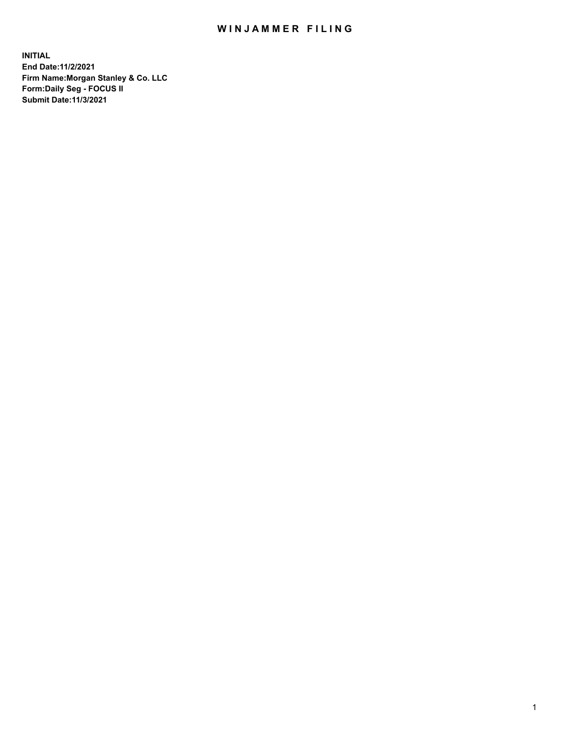## WIN JAMMER FILING

**INITIAL End Date:11/2/2021 Firm Name:Morgan Stanley & Co. LLC Form:Daily Seg - FOCUS II Submit Date:11/3/2021**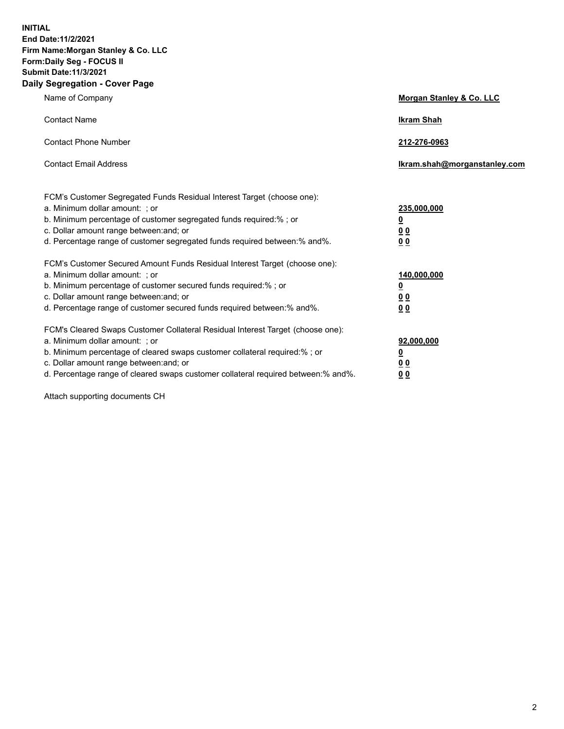**INITIAL End Date:11/2/2021 Firm Name:Morgan Stanley & Co. LLC Form:Daily Seg - FOCUS II Submit Date:11/3/2021 Daily Segregation - Cover Page**

| Name of Company                                                                                                                                                                                                                                                                                                                | <b>Morgan Stanley &amp; Co. LLC</b>                    |
|--------------------------------------------------------------------------------------------------------------------------------------------------------------------------------------------------------------------------------------------------------------------------------------------------------------------------------|--------------------------------------------------------|
| <b>Contact Name</b>                                                                                                                                                                                                                                                                                                            | <b>Ikram Shah</b>                                      |
| <b>Contact Phone Number</b>                                                                                                                                                                                                                                                                                                    | 212-276-0963                                           |
| <b>Contact Email Address</b>                                                                                                                                                                                                                                                                                                   | Ikram.shah@morganstanley.com                           |
| FCM's Customer Segregated Funds Residual Interest Target (choose one):<br>a. Minimum dollar amount: ; or<br>b. Minimum percentage of customer segregated funds required:% ; or<br>c. Dollar amount range between: and; or<br>d. Percentage range of customer segregated funds required between:% and%.                         | 235,000,000<br><u>0</u><br>0 Q<br>0 Q                  |
| FCM's Customer Secured Amount Funds Residual Interest Target (choose one):<br>a. Minimum dollar amount: ; or<br>b. Minimum percentage of customer secured funds required:% ; or<br>c. Dollar amount range between: and; or<br>d. Percentage range of customer secured funds required between: % and %.                         | 140,000,000<br><u>0</u><br><u>00</u><br>0 <sub>0</sub> |
| FCM's Cleared Swaps Customer Collateral Residual Interest Target (choose one):<br>a. Minimum dollar amount: ; or<br>b. Minimum percentage of cleared swaps customer collateral required:% ; or<br>c. Dollar amount range between: and; or<br>d. Percentage range of cleared swaps customer collateral required between:% and%. | 92,000,000<br><u>0</u><br>0 Q<br>00                    |

Attach supporting documents CH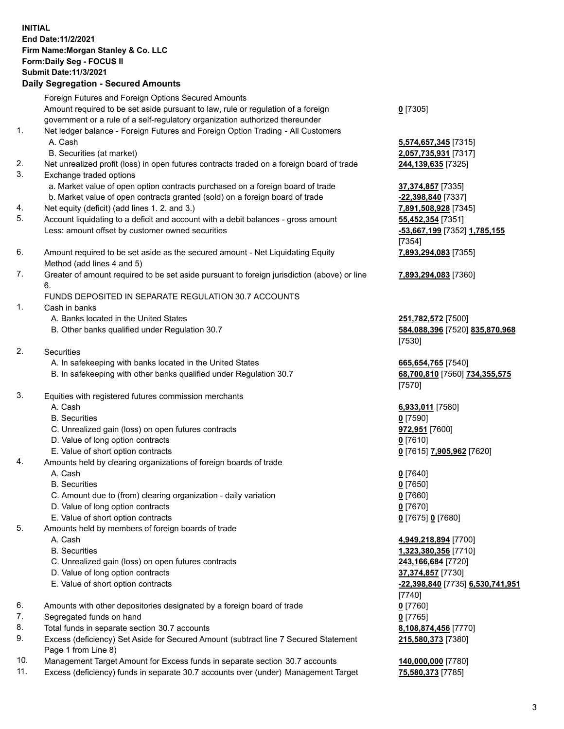## **INITIAL End Date:11/2/2021 Firm Name:Morgan Stanley & Co. LLC Form:Daily Seg - FOCUS II Submit Date:11/3/2021 Daily Segregation - Secured Amounts**

Foreign Futures and Foreign Options Secured Amounts Amount required to be set aside pursuant to law, rule or regulation of a foreign

- government or a rule of a self-regulatory organization authorized thereunder
- 1. Net ledger balance Foreign Futures and Foreign Option Trading All Customers A. Cash **5,574,657,345** [7315]
	- B. Securities (at market) **2,057,735,931** [7317]
- 2. Net unrealized profit (loss) in open futures contracts traded on a foreign board of trade **244,139,635** [7325]
- 3. Exchange traded options
	- a. Market value of open option contracts purchased on a foreign board of trade **37,374,857** [7335]
	- b. Market value of open contracts granted (sold) on a foreign board of trade **-22,398,840** [7337]
- 4. Net equity (deficit) (add lines 1. 2. and 3.) **7,891,508,928** [7345]
- 5. Account liquidating to a deficit and account with a debit balances gross amount **55,452,354** [7351] Less: amount offset by customer owned securities **-53,667,199** [7352] **1,785,155**
- 6. Amount required to be set aside as the secured amount Net Liquidating Equity Method (add lines 4 and 5)
- 7. Greater of amount required to be set aside pursuant to foreign jurisdiction (above) or line 6.

## FUNDS DEPOSITED IN SEPARATE REGULATION 30.7 ACCOUNTS

- 1. Cash in banks
	- A. Banks located in the United States **251,782,572** [7500]
	- B. Other banks qualified under Regulation 30.7 **584,088,396** [7520] **835,870,968**
- 2. Securities
	- A. In safekeeping with banks located in the United States **665,654,765** [7540]
	- B. In safekeeping with other banks qualified under Regulation 30.7 **68,700,810** [7560] **734,355,575**
- 3. Equities with registered futures commission merchants
	-
	- B. Securities **0** [7590]
	- C. Unrealized gain (loss) on open futures contracts **972,951** [7600]
	- D. Value of long option contracts **0** [7610]
	- E. Value of short option contracts **0** [7615] **7,905,962** [7620]
- 4. Amounts held by clearing organizations of foreign boards of trade
	- A. Cash **0** [7640]
	- B. Securities **0** [7650]
	- C. Amount due to (from) clearing organization daily variation **0** [7660]
	- D. Value of long option contracts **0** [7670]
	- E. Value of short option contracts **0** [7675] **0** [7680]
- 5. Amounts held by members of foreign boards of trade
	-
	-
	- C. Unrealized gain (loss) on open futures contracts **243,166,684** [7720]
	- D. Value of long option contracts **37,374,857** [7730]
	- E. Value of short option contracts **-22,398,840** [7735] **6,530,741,951**
- 6. Amounts with other depositories designated by a foreign board of trade **0** [7760]
- 7. Segregated funds on hand **0** [7765]
- 8. Total funds in separate section 30.7 accounts **8,108,874,456** [7770]
- 9. Excess (deficiency) Set Aside for Secured Amount (subtract line 7 Secured Statement Page 1 from Line 8)
- 10. Management Target Amount for Excess funds in separate section 30.7 accounts **140,000,000** [7780]
- 11. Excess (deficiency) funds in separate 30.7 accounts over (under) Management Target **75,580,373** [7785]

**0** [7305]

[7354] **7,893,294,083** [7355]

**7,893,294,083** [7360]

[7530]

[7570]

A. Cash **6,933,011** [7580]

 A. Cash **4,949,218,894** [7700] B. Securities **1,323,380,356** [7710] [7740] **215,580,373** [7380]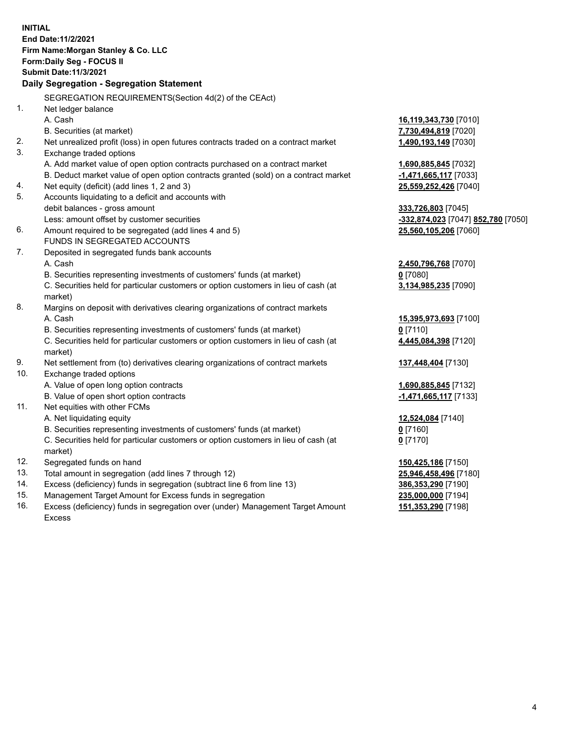**INITIAL End Date:11/2/2021 Firm Name:Morgan Stanley & Co. LLC Form:Daily Seg - FOCUS II Submit Date:11/3/2021 Daily Segregation - Segregation Statement** SEGREGATION REQUIREMENTS(Section 4d(2) of the CEAct) 1. Net ledger balance A. Cash **16,119,343,730** [7010] B. Securities (at market) **7,730,494,819** [7020] 2. Net unrealized profit (loss) in open futures contracts traded on a contract market **1,490,193,149** [7030] 3. Exchange traded options A. Add market value of open option contracts purchased on a contract market **1,690,885,845** [7032] B. Deduct market value of open option contracts granted (sold) on a contract market **-1,471,665,117** [7033] 4. Net equity (deficit) (add lines 1, 2 and 3) **25,559,252,426** [7040] 5. Accounts liquidating to a deficit and accounts with debit balances - gross amount **333,726,803** [7045] Less: amount offset by customer securities **-332,874,023** [7047] **852,780** [7050] 6. Amount required to be segregated (add lines 4 and 5) **25,560,105,206** [7060] FUNDS IN SEGREGATED ACCOUNTS 7. Deposited in segregated funds bank accounts A. Cash **2,450,796,768** [7070] B. Securities representing investments of customers' funds (at market) **0** [7080] C. Securities held for particular customers or option customers in lieu of cash (at market) **3,134,985,235** [7090] 8. Margins on deposit with derivatives clearing organizations of contract markets A. Cash **15,395,973,693** [7100] B. Securities representing investments of customers' funds (at market) **0** [7110] C. Securities held for particular customers or option customers in lieu of cash (at market) **4,445,084,398** [7120] 9. Net settlement from (to) derivatives clearing organizations of contract markets **137,448,404** [7130] 10. Exchange traded options A. Value of open long option contracts **1,690,885,845** [7132] B. Value of open short option contracts **-1,471,665,117** [7133] 11. Net equities with other FCMs A. Net liquidating equity **12,524,084** [7140] B. Securities representing investments of customers' funds (at market) **0** [7160] C. Securities held for particular customers or option customers in lieu of cash (at market) **0** [7170] 12. Segregated funds on hand **150,425,186** [7150] 13. Total amount in segregation (add lines 7 through 12) **25,946,458,496** [7180] 14. Excess (deficiency) funds in segregation (subtract line 6 from line 13) **386,353,290** [7190] 15. Management Target Amount for Excess funds in segregation **235,000,000** [7194] **151,353,290** [7198]

16. Excess (deficiency) funds in segregation over (under) Management Target Amount Excess